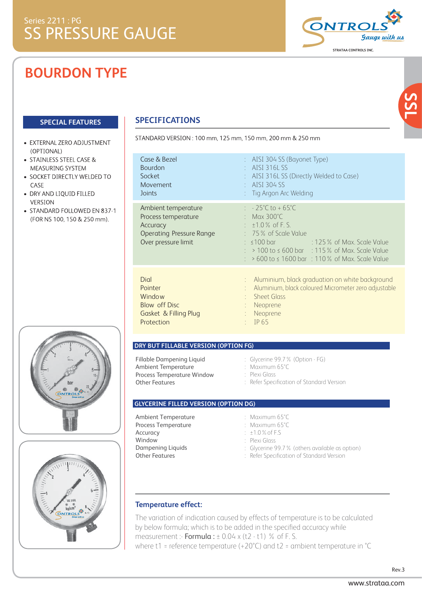# **BOURDON TYPE**

- · EXTERNAL ZERO ADJUSTMENT (OPTIONAL)
- STAINLESS STEEL CASE & MEASURING SYSTEM
- SOCKET DIRECTLY WELDED TO CASE
- DRY AND LIQUID FILLED **VERSION**
- STANDARD FOLLOWED EN 837-1 (FOR NS 100, 150 & 250 mm).





## **SPECIAL FEATURES SPECIFICATIONS**

STANDARD VERSION: 100 mm, 125 mm, 150 mm, 200 mm & 250 mm

| Case & Bezel                                                                                                     | : AISI 304 SS (Bayonet Type)                                                                                                                                                                                                                                                                  |
|------------------------------------------------------------------------------------------------------------------|-----------------------------------------------------------------------------------------------------------------------------------------------------------------------------------------------------------------------------------------------------------------------------------------------|
| <b>Bourdon</b>                                                                                                   | $\cdot$ AISI 3161 SS                                                                                                                                                                                                                                                                          |
| Socket                                                                                                           | : AISI 316L SS (Directly Welded to Case)                                                                                                                                                                                                                                                      |
| Movement                                                                                                         | $\therefore$ AISI 304 SS                                                                                                                                                                                                                                                                      |
| Joints                                                                                                           | : Tig Argon Arc Welding                                                                                                                                                                                                                                                                       |
| Ambient temperature<br>Process temperature<br>Accuracy<br><b>Operating Pressure Range</b><br>Over pressure limit | $\therefore$ - 25°C to + 65°C<br>: Max $300^{\circ}$ C<br>$\pm 1.0\%$ of F.S.<br>$: 75\%$ of Scale Value<br>$:$ <100 bar<br>and the control of Max. Scale Value<br>$:$ > 100 to $\leq$ 600 bar $\leq$ 115% of Max. Scale Value<br>$:$ > 600 to $\leq$ 1600 bar $\pm$ 110% of Max. Scale Value |
| Dial                                                                                                             | : Aluminium, black graduation on white background                                                                                                                                                                                                                                             |
| Pointer                                                                                                          | Aluminium, black coloured Micrometer zero adjustable                                                                                                                                                                                                                                          |
| Window                                                                                                           | <b>Sheet Glass</b>                                                                                                                                                                                                                                                                            |
| <b>Blow off Disc</b>                                                                                             | Neoprene                                                                                                                                                                                                                                                                                      |
| <b>Gasket &amp; Filling Plug</b>                                                                                 | Neoprene                                                                                                                                                                                                                                                                                      |
| Protection                                                                                                       | IP 65                                                                                                                                                                                                                                                                                         |

## **DRY BUT FILLABLE VERSION (OPTION FG)**

Fillable Dampening Liquid Ambient Temperature Process Temperature Window Other Features

: Glycerine 99.7% (Option - FG) : Maximum 65°C : Plexi Glass : Refer Specification of Standard Version

### **GLYCERINE FILLED VERSION (OPTION DG)**

Ambient Temperature Process Temperature Accuracy Window Dampening Liquids Other Features

: Maximum 65°C

- : Maximum 65°C : ±1.0%of F.S
- : Plexi Glass
- 
- : Glycerine 99.7% (others available as option)
- : Refer Specification of Standard Version

## **Temperature effect:**

The variation of indication caused by effects of temperature is to be calculated by below formula; which is to be added in the specified accuracy while measurement :-  $Formula: \pm 0.04 \times (t2 - t1)$  % of F. S. where t1 = reference temperature (+20°C) and t2 = ambient temperature in °C



**SSL**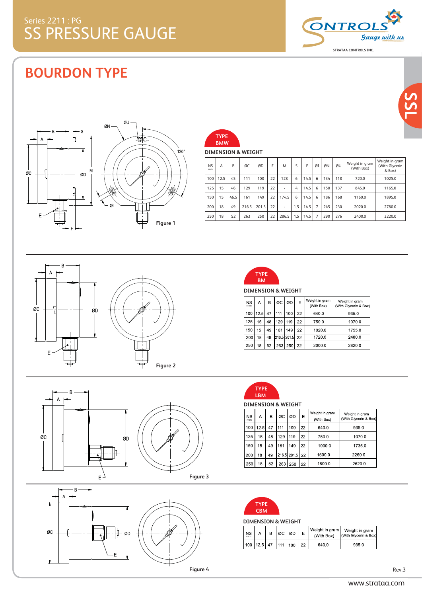

# **BOURDON TYPE**



| TYPE<br><b>BMW</b>            |  |
|-------------------------------|--|
| <b>DIMENSION &amp; WEIGHT</b> |  |

| <b>NS</b><br>mm | А    | B    | ØC    | ØD    | F  | M     | S   | F    | ØI             | ØN  | ØU  | Weight in gram<br>(With Box) | Weight in gram<br>(With Glycerin<br>& Box) |
|-----------------|------|------|-------|-------|----|-------|-----|------|----------------|-----|-----|------------------------------|--------------------------------------------|
| 100             | 12.5 | 45   | 111   | 100   | 22 | 128   | 6   | 14.5 | 6              | 134 | 118 | 720.0                        | 1025.0                                     |
| 125             | 15   | 46   | 129   | 119   | 22 | ٠     | 4   | 14.5 | 6              | 150 | 137 | 845.0                        | 1165.0                                     |
| 150             | 15   | 46.5 | 161   | 149   | 22 | 174.5 | 6   | 14.5 | 6              | 186 | 168 | 1160.0                       | 1895.0                                     |
| 200             | 18   | 49   | 216.5 | 201.5 | 22 | ٠     | 1.5 | 14.5 | $\overline{7}$ | 245 | 230 | 2020.0                       | 2780.0                                     |
| 250             | 18   | 52   | 263   | 250   | 22 | 286.5 | 1.5 | 14.5 | 7              | 290 | 276 | 2400.0                       | 3220.0                                     |









**DIMENSION & WEIGHT**

| ΝS<br>mm | А    | в  | ØC          | ØD  | E  | Weight in gram<br>(With Box) | Weight in gram<br>(With Glycerin & Box) |
|----------|------|----|-------------|-----|----|------------------------------|-----------------------------------------|
| 100      | 12.5 | 47 | 111         | 100 | 22 | 640.0                        | 935.0                                   |
| 125      | 15   | 48 | 129         | 119 | 22 | 750.0                        | 1070.0                                  |
| 150      | 15   | 49 | 161         | 149 | 22 | 1020.0                       | 1755.0                                  |
| 200      | 18   | 49 | 210 5 201 5 |     | 22 | 1720.0                       | 2480.0                                  |
| 250      | 18   | 52 | 263         | 250 | 22 | 2000.0                       | 2820.0                                  |



**DIMENSION & WEIGHT**

| <b>NS</b><br>mm | А   | в  | ØC  | ØD             | E  | Weight in gram<br>(With Box) | Weight in gram<br>(With Glycerin & Box) |
|-----------------|-----|----|-----|----------------|----|------------------------------|-----------------------------------------|
| 100             | 125 | 47 | 111 | 100            | 22 | 640.0                        | 935.0                                   |
| 125             | 15  | 48 | 129 | 119            | 22 | 750.0                        | 1070.0                                  |
| 150             | 15  | 49 | 161 | 149            | 22 | 1000.0                       | 1735.0                                  |
| 200             | 18  | 49 |     | 216 5 201 5 22 |    | 1500.0                       | 22600                                   |
| 250             | 18  | 52 | 263 | 250            | 22 | 18000                        | 2620.0                                  |



### **DIMENSION & WEIGHT**

| NS<br>mm |    | ØC | ØD | Weight in gram<br>(With Box) | Weight in gram<br>With Givcerin & Box |
|----------|----|----|----|------------------------------|---------------------------------------|
| 100      | 47 |    |    | 640.0                        | 935.0                                 |

**SSL**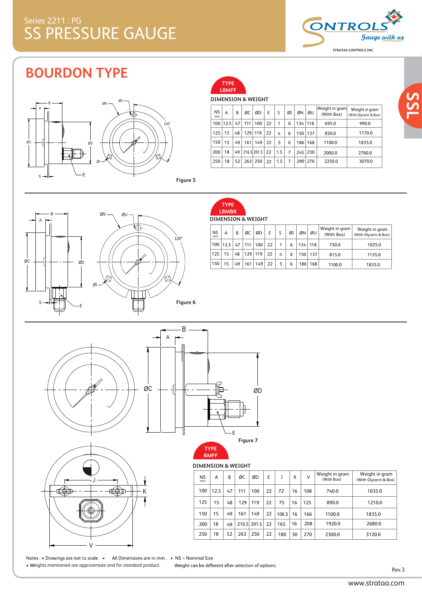

**SSL**

## **BOURDON TYPE**





### **DIMENSION & WEIGHT**

| <b>NS</b><br>mm | А        | B  | ØС  | ØD          | E  | S   | ØI | ØΝ  | ØU  | Weight in gram<br>(With Box) | Weight in gram<br>(With Glycerin & Box) |
|-----------------|----------|----|-----|-------------|----|-----|----|-----|-----|------------------------------|-----------------------------------------|
|                 | 100 12.5 | 47 | 111 | 100         | 22 | 1   | 6  | 134 | 118 | 695.0                        | 990.0                                   |
| 125             | 15       | 48 | 129 | 119         | 22 | 4   | 6  | 150 | 137 | 850.0                        | 1170.0                                  |
| 150             | 15       | 49 | 161 | 149         | 22 | 5   | 6  | 186 | 168 | 1100.0                       | 1835.0                                  |
| 200             | 18       | 49 |     | 216.5 201.5 | 22 | 1.5 | 7  | 245 | 230 | 2000.0                       | 2760.0                                  |
| 250             | 18       | 52 | 263 | 250         | 22 | 1.5 | 7  | 290 | 276 | 2250.0                       | 3070.0                                  |



**DIMENSION & WEIGHT TYPE LBMBR**

| <b>NS</b><br>mm | A            | B  | ØC      | ØD  | E  | S | ØI | ØΝ               | ØU  | Weight in gram!<br>(With Box) | Weight in gram<br>(With Glycerin & Box) |
|-----------------|--------------|----|---------|-----|----|---|----|------------------|-----|-------------------------------|-----------------------------------------|
|                 | $100$   12.5 | 47 | 111     | 100 | 22 |   | 6  | 134              | 118 | 730.0                         | 1025.0                                  |
| 125             | 15           | 48 | 129 119 |     | 22 | 4 | 6  | 150 <sup>1</sup> | 137 | 815.0                         | 1135.0                                  |
| 150             | 15           | 49 | 161     | 149 | 22 |   | 6  | 186              | 168 | 1100.0                        | 1835.0                                  |







### **DIMENSION & WEIGHT BMFF**

### 125 A B ØC ØD E J K V 150 NS mm 100 12.5 47 111 100 22 72 16 108 740.0 15 49 161 149 22 Weight in gram (With Box)  $106.5$  16 166 1100.0 15 | 48 | 129 | 119 | 22 | 75 | 16 | 125 | 890.0 200 250 | 18 | 52 | 263 | 250 | 22 | 180 | 30 | 270 | 2300.0 18 | 49 | 210.5 | 201.5 | 22 | 165 | 16 | 208 | 1920.0 Weight in gram (With Glycerin & Box) 1035.0 1835.0 1210.0 3120.0 2680.0

Notes: • Drawings are not to scale. • All Dimensions are in mm. • NS = Nominal Size • Weights mentioned are approximate and for standard product.

Weight can be different after selection of options.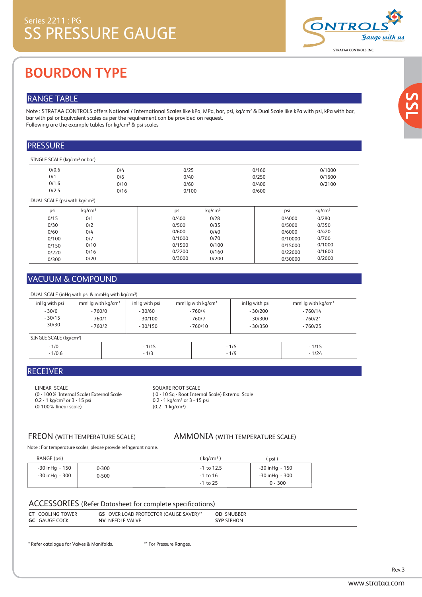

# **BOURDON TYPE**

## RANGE TABLE

Note : STRATAA CONTROLS offers National / International Scales like kPa, MPa, bar, psi, kg/cm<sup>2</sup> & Dual Scale like kPa with psi, kPa with bar, bar with psi or Equivalent scales as per the requirement can be provided on request. Following are the example tables for kg/cm $^{\rm 2}$  & psi scales

## PRESSURE

| SINGLE SCALE (kg/cm <sup>2</sup> or bar)  |                    |      |        |                    |       |         |                    |  |
|-------------------------------------------|--------------------|------|--------|--------------------|-------|---------|--------------------|--|
| 0/0.6                                     |                    | 0/4  | 0/25   |                    | 0/160 |         | 0/1000             |  |
| 0/1                                       |                    | 0/6  | 0/40   |                    | 0/250 |         | 0/1600             |  |
| 0/1.6                                     |                    | 0/10 | 0/60   |                    | 0/400 |         | 0/2100             |  |
| 0/2.5                                     |                    | 0/16 | 0/100  |                    | 0/600 |         |                    |  |
| DUAL SCALE (psi with kg/cm <sup>2</sup> ) |                    |      |        |                    |       |         |                    |  |
| psi                                       | kq/cm <sup>2</sup> |      | psi    | kg/cm <sup>2</sup> |       | psi     | kg/cm <sup>2</sup> |  |
| 0/15                                      | 0/1                |      | 0/400  | 0/28               |       | 0/4000  | 0/280              |  |
| 0/30                                      | 0/2                |      | 0/500  | 0/35               |       | 0/5000  | 0/350              |  |
| 0/60                                      | 0/4                |      | 0/600  | 0/40               |       | 0/6000  | 0/420              |  |
| 0/100                                     | 0/7                |      | 0/1000 | 0/70               |       | 0/10000 | 0/700              |  |

0/100 0/160 0/200

0/15000 0/22000 0/30000

0/1000 0/1600 0/2000

0/1500 0/2200 0/3000

## VACUUM & COMPOUND

0/150 0/220 0/300

DUAL SCALE (inHg with psi & mmHg with kg/cm²)

0/10 0/16 0/20

| inHq with psi                      | mmHq with kg/cm <sup>2</sup> | inHq with psi | mmHq with kq/cm <sup>2</sup> | inHq with psi | mmHq with kq/cm <sup>2</sup> |  |
|------------------------------------|------------------------------|---------------|------------------------------|---------------|------------------------------|--|
| $-30/0$                            | $-760/0$                     | $-30/60$      | $-760/4$                     | $-30/200$     | $-760/14$                    |  |
| $-30/15$                           | $-760/1$                     | $-30/100$     | $-760/7$                     | $-30/300$     | $-760/21$                    |  |
| $-30/30$                           | $-760/2$                     | $-30/150$     | $-760/10$                    | $-30/350$     | $-760/25$                    |  |
| SINGLE SCALE (kg/cm <sup>2</sup> ) |                              |               |                              |               |                              |  |
| $-1/0$                             |                              | $-1/15$       |                              | $-1/5$        | $-1/15$                      |  |
| $-1/0.6$                           |                              | $-1/3$        |                              | $-1/9$        |                              |  |

## RECEIVER

LINEAR SCALE (0 - 100% Internal Scale) External Scale 0.2 - 1 kg/cm<sup>2</sup> or 3 - 15 psi (0-100% linear scale)

### SQUARE ROOT SCALE

( 0 - 10 Sq - Root Internal Scale) External Scale 0.2 - 1 kg/cm² or 3 - 15 psi  $(0.2 - 1 \text{ kg/cm}^2)$ 

## FREON (WITH TEMPERATURE SCALE) AMMONIA (WITH TEMPERATURE SCALE)

Note : For temperature scales, please provide refrigerant name.

| RANGE (psi)        |           | (kg/cm <sup>2</sup> ) | (psi)              |
|--------------------|-----------|-----------------------|--------------------|
| $-30$ in Hq $-150$ | $0 - 300$ | $-1$ to 12.5          | $-30$ in Hq $-150$ |
| -30 inHq - 300     | $0 - 500$ | $-1$ to 16            | $-30$ in Hq $-300$ |
|                    |           | $-1$ to 25            | $0 - 300$          |

## ACCESSORIES (Refer Datasheet for complete specifications)

| <b>OD SNUBBER</b> |
|-------------------|
|-------------------|

\* Refer catalogue for Valves & Manifolds. \*\* For Pressure Ranges.